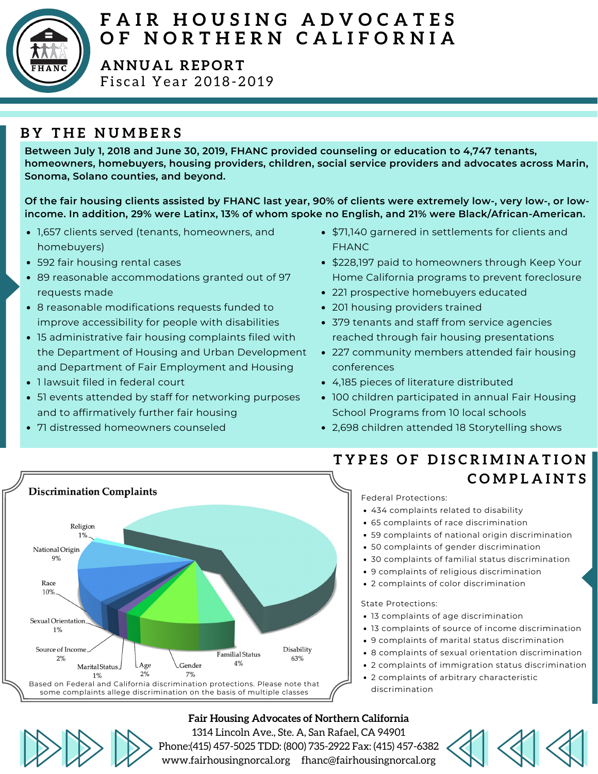

# **F [A](http://www.fairhousingnorcal.org/) I R H O U S I N G A D V O C A T E S O F N O R T H E R N C A L I F O R N I A**

**A NNU A L REPORT** Fiscal Year 2018-2019

## **B Y T H E N U M B E R S**

**Between July 1, 2018 and June 30, 2019, FHANC provided counseling or education to 4,747 tenants, homeowners, homebuyers, housing providers, children, social service providers and advocates across Marin, Sonoma, Solano counties, and beyond.**

Of the fair housing clients assisted by FHANC last year, 90% of clients were extremely low-, very low-, or low**income. In addition, 29% were Latinx, 13% of whom spoke no English, and 21% were Black/African-American.**

- 1,657 clients served (tenants, homeowners, and homebuyers)
- 592 fair housing rental cases
- 89 reasonable accommodations granted out of 97 requests made
- 8 reasonable modifications requests funded to improve accessibility for people with disabilities
- 15 administrative fair housing complaints filed with the Department of Housing and Urban Development and Department of Fair Employment and Housing
- 1 lawsuit filed in federal court
- 51 events attended by staff for networking purposes and to affirmatively further fair housing
- 71 distressed homeowners counseled
- \$71,140 garnered in settlements for clients and FHANC
- \$228,197 paid to homeowners through Keep Your Home California programs to prevent foreclosure
- 221 prospective homebuyers educated
- 201 housing providers trained
- $113$   $134$   $137$   $137$   $139$   $139$   $139$   $139$   $149$   $156$   $159$   $139$   $139$   $139$   $139$   $139$   $139$   $139$   $139$   $139$   $139$   $139$   $139$   $139$   $139$   $139$   $139$   $139$   $139$   $139$   $139$   $139$   $139$   $139$   $139$   $139$   $139$ ilities  $\bullet$  379 tenants and staff from service agencies iled with reached through fair housing presentations
- $v$ elopment  $\quad \bullet \quad$  227 community members attended fair housing conferences
	- 4,185 pieces of literature distributed
	- 100 children participated in annual Fair Housing School Programs from 10 local schools
	- 2,698 children attended 18 Storytelling shows

### **T Y P E S O F D I S C R I M I N A T I O N C O M P L A I N T S**

Federal Protections:

- 434 complaints related to disability
- 65 complaints of race discrimination
- 59 complaints of national origin discrimination
- 50 complaints of gender discrimination
- 30 complaints of familial status discrimination
- 9 complaints of religious discrimination
- 2 complaints of color discrimination

#### State Protections:

- 13 complaints of age discrimination
- 13 complaints of source of income discrimination
- 9 complaints of marital status discrimination
- 8 complaints of sexual orientation discrimination
- 2 complaints of immigration status discrimination
- 2 complaints of arbitrary characteristic discrimination

### **Fair Housing Advocates of Northern California**

1314 Lincoln Ave., Ste. A, San Rafael, CA 94901 Phone:(415) 457-5025 TDD: (800) 735-2922 Fax: (415) 457-6382 www.fairhousingnorcal.org fhanc@fairhousingnorcal.org